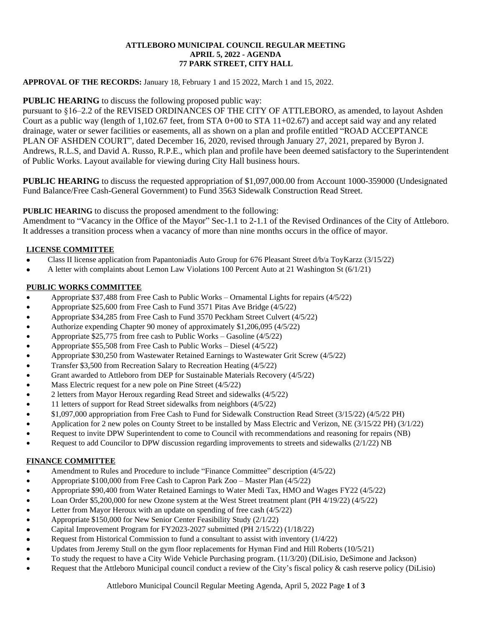## **ATTLEBORO MUNICIPAL COUNCIL REGULAR MEETING APRIL 5, 2022 - AGENDA 77 PARK STREET, CITY HALL**

# **APPROVAL OF THE RECORDS:** January 18, February 1 and 15 2022, March 1 and 15, 2022.

# **PUBLIC HEARING** to discuss the following proposed public way:

pursuant to §16–2.2 of the REVISED ORDINANCES OF THE CITY OF ATTLEBORO, as amended, to layout Ashden Court as a public way (length of  $1,102.67$  feet, from STA  $0+00$  to STA  $11+02.67$ ) and accept said way and any related drainage, water or sewer facilities or easements, all as shown on a plan and profile entitled "ROAD ACCEPTANCE PLAN OF ASHDEN COURT", dated December 16, 2020, revised through January 27, 2021, prepared by Byron J. Andrews, R.L.S, and David A. Russo, R.P.E., which plan and profile have been deemed satisfactory to the Superintendent of Public Works. Layout available for viewing during City Hall business hours.

**PUBLIC HEARING** to discuss the requested appropriation of \$1,097,000.00 from Account 1000-359000 (Undesignated Fund Balance/Free Cash-General Government) to Fund 3563 Sidewalk Construction Read Street.

# **PUBLIC HEARING** to discuss the proposed amendment to the following:

Amendment to "Vacancy in the Office of the Mayor" Sec-1.1 to 2-1.1 of the Revised Ordinances of the City of Attleboro. It addresses a transition process when a vacancy of more than nine months occurs in the office of mayor.

## **LICENSE COMMITTEE**

- Class II license application from Papantoniadis Auto Group for 676 Pleasant Street d/b/a ToyKarzz (3/15/22)
- A letter with complaints about Lemon Law Violations 100 Percent Auto at 21 Washington St (6/1/21)

#### **PUBLIC WORKS COMMITTEE**

- Appropriate \$37,488 from Free Cash to Public Works Ornamental Lights for repairs (4/5/22)
- Appropriate \$25,600 from Free Cash to Fund 3571 Pitas Ave Bridge (4/5/22)
- Appropriate \$34,285 from Free Cash to Fund 3570 Peckham Street Culvert (4/5/22)
- Authorize expending Chapter 90 money of approximately \$1,206,095 (4/5/22)
- Appropriate \$25,775 from free cash to Public Works Gasoline (4/5/22)
- Appropriate \$55,508 from Free Cash to Public Works Diesel (4/5/22)
- Appropriate \$30,250 from Wastewater Retained Earnings to Wastewater Grit Screw (4/5/22)
- Transfer \$3,500 from Recreation Salary to Recreation Heating (4/5/22)
- Grant awarded to Attleboro from DEP for Sustainable Materials Recovery (4/5/22)
- Mass Electric request for a new pole on Pine Street (4/5/22)
- 2 letters from Mayor Heroux regarding Read Street and sidewalks (4/5/22)
- 11 letters of support for Read Street sidewalks from neighbors (4/5/22)
- \$1,097,000 appropriation from Free Cash to Fund for Sidewalk Construction Read Street (3/15/22) (4/5/22 PH)
- Application for 2 new poles on County Street to be installed by Mass Electric and Verizon, NE (3/15/22 PH) (3/1/22)
- Request to invite DPW Superintendent to come to Council with recommendations and reasoning for repairs (NB)
- Request to add Councilor to DPW discussion regarding improvements to streets and sidewalks (2/1/22) NB

#### **FINANCE COMMITTEE**

- Amendment to Rules and Procedure to include "Finance Committee" description (4/5/22)
- Appropriate \$100,000 from Free Cash to Capron Park Zoo Master Plan (4/5/22)
- Appropriate \$90,400 from Water Retained Earnings to Water Medi Tax, HMO and Wages FY22 (4/5/22)
- Loan Order \$5,200,000 for new Ozone system at the West Street treatment plant (PH 4/19/22) (4/5/22)
- Letter from Mayor Heroux with an update on spending of free cash (4/5/22)
- Appropriate \$150,000 for New Senior Center Feasibility Study (2/1/22)
- Capital Improvement Program for FY2023-2027 submitted (PH 2/15/22) (1/18/22)
- Request from Historical Commission to fund a consultant to assist with inventory (1/4/22)
- Updates from Jeremy Stull on the gym floor replacements for Hyman Find and Hill Roberts (10/5/21)
- To study the request to have a City Wide Vehicle Purchasing program. (11/3/20) (DiLisio, DeSimone and Jackson)
- Request that the Attleboro Municipal council conduct a review of the City's fiscal policy & cash reserve policy (DiLisio)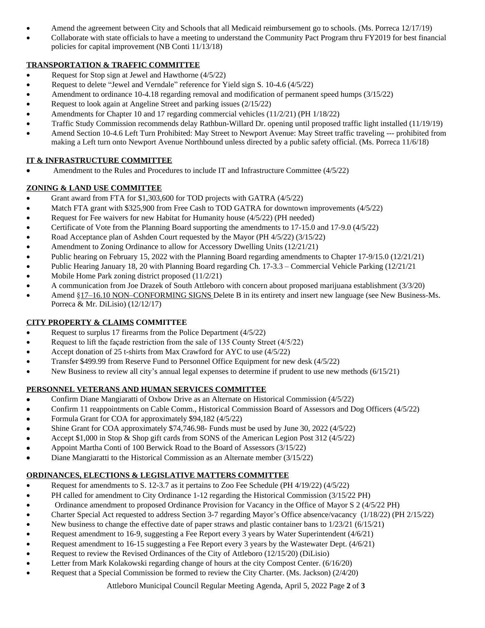- Amend the agreement between City and Schools that all Medicaid reimbursement go to schools. (Ms. Porreca 12/17/19)
- Collaborate with state officials to have a meeting to understand the Community Pact Program thru FY2019 for best financial policies for capital improvement (NB Conti 11/13/18)

## **TRANSPORTATION & TRAFFIC COMMITTEE**

- Request for Stop sign at Jewel and Hawthorne (4/5/22)
- Request to delete "Jewel and Verndale" reference for Yield sign S. 10-4.6 (4/5/22)
- Amendment to ordinance 10-4.18 regarding removal and modification of permanent speed humps (3/15/22)
- Request to look again at Angeline Street and parking issues (2/15/22)
- Amendments for Chapter 10 and 17 regarding commercial vehicles (11/2/21) (PH 1/18/22)
- Traffic Study Commission recommends delay Rathbun-Willard Dr. opening until proposed traffic light installed (11/19/19)
- Amend Section 10-4.6 Left Turn Prohibited: May Street to Newport Avenue: May Street traffic traveling --- prohibited from making a Left turn onto Newport Avenue Northbound unless directed by a public safety official. (Ms. Porreca 11/6/18)

## **IT & INFRASTRUCTURE COMMITTEE**

Amendment to the Rules and Procedures to include IT and Infrastructure Committee (4/5/22)

# **ZONING & LAND USE COMMITTEE**

- Grant award from FTA for \$1,303,600 for TOD projects with GATRA (4/5/22)
- Match FTA grant with \$325,900 from Free Cash to TOD GATRA for downtown improvements (4/5/22)
- Request for Fee waivers for new Habitat for Humanity house (4/5/22) (PH needed)
- Certificate of Vote from the Planning Board supporting the amendments to 17-15.0 and 17-9.0 (4/5/22)
- Road Acceptance plan of Ashden Court requested by the Mayor (PH 4/5/22) (3/15/22)
- Amendment to Zoning Ordinance to allow for Accessory Dwelling Units (12/21/21)
- Public hearing on February 15, 2022 with the Planning Board regarding amendments to Chapter 17-9/15.0 (12/21/21)
- Public Hearing January 18, 20 with Planning Board regarding Ch. 17-3.3 Commercial Vehicle Parking (12/21/21
- Mobile Home Park zoning district proposed (11/2/21)
- A communication from Joe Drazek of South Attleboro with concern about proposed marijuana establishment (3/3/20)
- Amend §17–16.10 NON–CONFORMING SIGNS Delete B in its entirety and insert new language (see New Business-Ms. Porreca & Mr. DiLisio) (12/12/17)

# **CITY PROPERTY & CLAIMS COMMITTEE**

- Request to surplus 17 firearms from the Police Department (4/5/22)
- Request to lift the façade restriction from the sale of 135 County Street (4/5/22)
- Accept donation of 25 t-shirts from Max Crawford for AYC to use (4/5/22)
- Transfer \$499.99 from Reserve Fund to Personnel Office Equipment for new desk (4/5/22)
- New Business to review all city's annual legal expenses to determine if prudent to use new methods (6/15/21)

# **PERSONNEL VETERANS AND HUMAN SERVICES COMMITTEE**

- Confirm Diane Mangiaratti of Oxbow Drive as an Alternate on Historical Commission (4/5/22)
- Confirm 11 reappointments on Cable Comm., Historical Commission Board of Assessors and Dog Officers (4/5/22)
- Formula Grant for COA for approximately \$94,182 (4/5/22)
- Shine Grant for COA approximately \$74,746.98- Funds must be used by June 30, 2022 (4/5/22)
- Accept \$1,000 in Stop & Shop gift cards from SONS of the American Legion Post 312 (4/5/22)
- Appoint Martha Conti of 100 Berwick Road to the Board of Assessors (3/15/22)
- Diane Mangiaratti to the Historical Commission as an Alternate member (3/15/22)

# **ORDINANCES, ELECTIONS & LEGISLATIVE MATTERS COMMITTEE**

- Request for amendments to S. 12-3.7 as it pertains to Zoo Fee Schedule (PH 4/19/22) (4/5/22)
- PH called for amendment to City Ordinance 1-12 regarding the Historical Commission (3/15/22 PH)
- Ordinance amendment to proposed Ordinance Provision for Vacancy in the Office of Mayor S 2 (4/5/22 PH)
- Charter Special Act requested to address Section 3-7 regarding Mayor's Office absence/vacancy (1/18/22) (PH 2/15/22)
- New business to change the effective date of paper straws and plastic container bans to  $1/23/21$  (6/15/21)
- Request amendment to 16-9, suggesting a Fee Report every 3 years by Water Superintendent (4/6/21)
- Request amendment to 16-15 suggesting a Fee Report every 3 years by the Wastewater Dept. (4/6/21)
- Request to review the Revised Ordinances of the City of Attleboro (12/15/20) (DiLisio)
- Letter from Mark Kolakowski regarding change of hours at the city Compost Center. (6/16/20)
- Request that a Special Commission be formed to review the City Charter. (Ms. Jackson) (2/4/20)